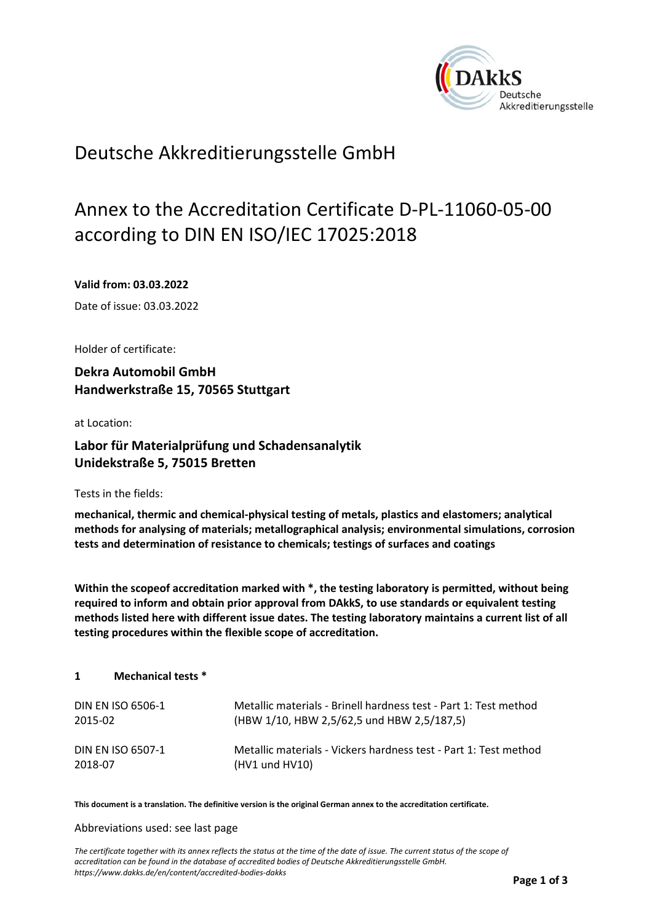

## Deutsche Akkreditierungsstelle GmbH

# Annex to the Accreditation Certificate D-PL-11060-05-00 according to DIN EN ISO/IEC 17025:2018

**Valid from: 03.03.2022** 

Date of issue: 03.03.2022

Holder of certificate:

**Dekra Automobil GmbH Handwerkstraße 15, 70565 Stuttgart** 

at Location:

## **Labor für Materialprüfung und Schadensanalytik Unidekstraße 5, 75015 Bretten**

Tests in the fields:

**mechanical, thermic and chemical‐physical testing of metals, plastics and elastomers; analytical methods for analysing of materials; metallographical analysis; environmental simulations, corrosion tests and determination of resistance to chemicals; testings of surfaces and coatings** 

**Within the scopeof accreditation marked with \*, the testing laboratory is permitted, without being required to inform and obtain prior approval from DAkkS, to use standards or equivalent testing methods listed here with different issue dates. The testing laboratory maintains a current list of all testing procedures within the flexible scope of accreditation.**

#### **1 Mechanical tests \***

| DIN EN ISO 6506-1 | Metallic materials - Brinell hardness test - Part 1: Test method |
|-------------------|------------------------------------------------------------------|
| 2015-02           | (HBW 1/10, HBW 2,5/62,5 und HBW 2,5/187,5)                       |
| DIN EN ISO 6507-1 | Metallic materials - Vickers hardness test - Part 1: Test method |
| 2018-07           | (HV1 und HV10)                                                   |

**This document is a translation. The definitive version is the original German annex to the accreditation certificate.** 

#### Abbreviations used: see last page

*The certificate together with its annex reflects the status at the time of the date of issue. The current status of the scope of accreditation can be found in the database of accredited bodies of Deutsche Akkreditierungsstelle GmbH. https://www.dakks.de/en/content/accredited-bodies-dakks*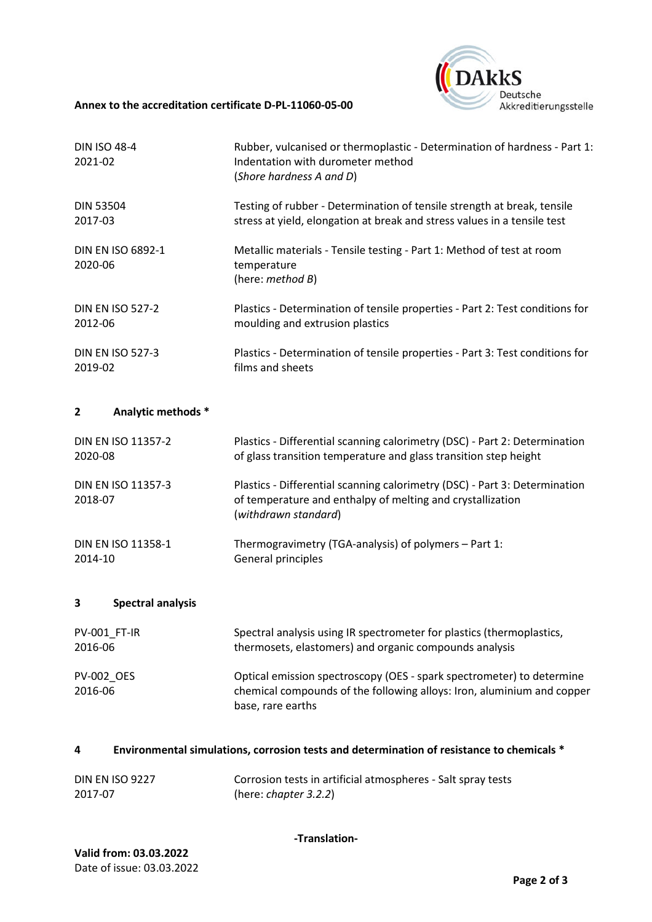#### **Annex to the accreditation certificate D‐PL‐11060‐05‐00**



| <b>DIN ISO 48-4</b><br>2021-02 | Rubber, vulcanised or thermoplastic - Determination of hardness - Part 1:<br>Indentation with durometer method<br>(Shore hardness A and D) |
|--------------------------------|--------------------------------------------------------------------------------------------------------------------------------------------|
| <b>DIN 53504</b>               | Testing of rubber - Determination of tensile strength at break, tensile                                                                    |
| 2017-03                        | stress at yield, elongation at break and stress values in a tensile test                                                                   |
| DIN EN ISO 6892-1<br>2020-06   | Metallic materials - Tensile testing - Part 1: Method of test at room<br>temperature<br>(here: method B)                                   |
| <b>DIN EN ISO 527-2</b>        | Plastics - Determination of tensile properties - Part 2: Test conditions for                                                               |
| 2012-06                        | moulding and extrusion plastics                                                                                                            |
| <b>DIN EN ISO 527-3</b>        | Plastics - Determination of tensile properties - Part 3: Test conditions for                                                               |
| 2019-02                        | films and sheets                                                                                                                           |

## **2 Analytic methods \***

| <b>DIN EN ISO 11357-2</b>            | Plastics - Differential scanning calorimetry (DSC) - Part 2: Determination                                                                                       |
|--------------------------------------|------------------------------------------------------------------------------------------------------------------------------------------------------------------|
| 2020-08                              | of glass transition temperature and glass transition step height                                                                                                 |
| <b>DIN EN ISO 11357-3</b><br>2018-07 | Plastics - Differential scanning calorimetry (DSC) - Part 3: Determination<br>of temperature and enthalpy of melting and crystallization<br>(withdrawn standard) |
| DIN EN ISO 11358-1                   | Thermogravimetry (TGA-analysis) of polymers – Part 1:                                                                                                            |
| 2014-10                              | General principles                                                                                                                                               |

## **3 Spectral analysis**

| <b>PV-001 FT-IR</b>          | Spectral analysis using IR spectrometer for plastics (thermoplastics,                                                                                                |
|------------------------------|----------------------------------------------------------------------------------------------------------------------------------------------------------------------|
| 2016-06                      | thermosets, elastomers) and organic compounds analysis                                                                                                               |
| <b>PV-002 OES</b><br>2016-06 | Optical emission spectroscopy (OES - spark spectrometer) to determine<br>chemical compounds of the following alloys: Iron, aluminium and copper<br>base, rare earths |

## **4 Environmental simulations, corrosion tests and determination of resistance to chemicals \***

| <b>DIN EN ISO 9227</b> | Corrosion tests in artificial atmospheres - Salt spray tests |
|------------------------|--------------------------------------------------------------|
| 2017-07                | (here: chapter $3.2.2$ )                                     |

**‐Translation‐**